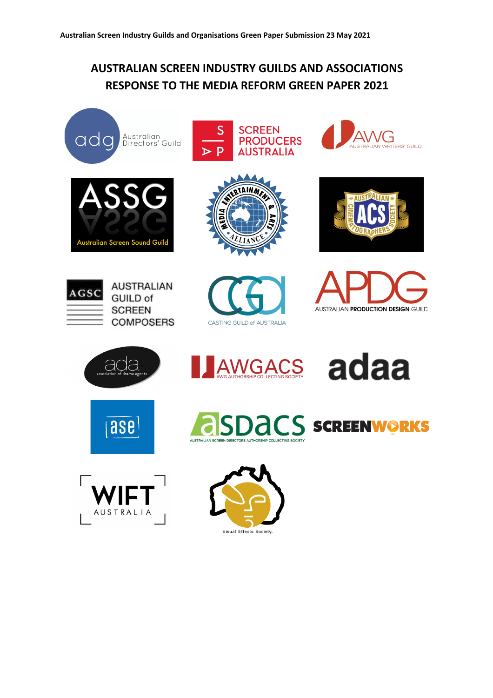# **AUSTRALIAN SCREEN INDUSTRY GUILDS AND ASSOCIATIONS RESPONSE TO THE MEDIA REFORM GREEN PAPER 2021**





AUSTRALIA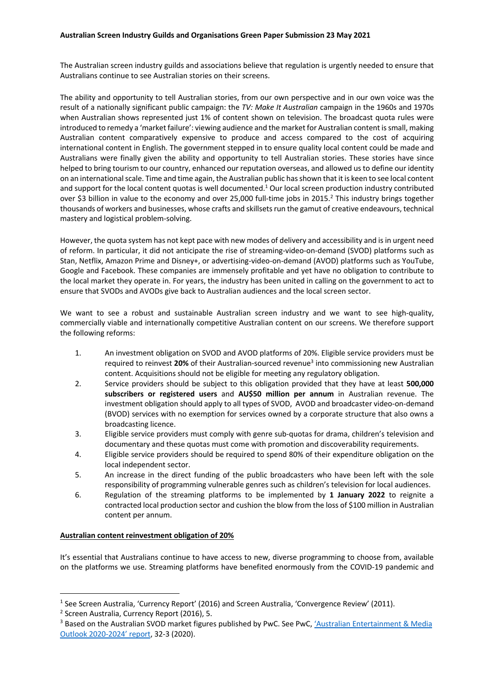# **Australian Screen Industry Guilds and Organisations Green Paper Submission 23 May 2021**

The Australian screen industry guilds and associations believe that regulation is urgently needed to ensure that Australians continue to see Australian stories on their screens.

The ability and opportunity to tell Australian stories, from our own perspective and in our own voice was the result of a nationally significant public campaign: the *TV: Make It Australian* campaign in the 1960s and 1970s when Australian shows represented just 1% of content shown on television. The broadcast quota rules were introduced to remedy a 'market failure': viewing audience and the market for Australian content is small, making Australian content comparatively expensive to produce and access compared to the cost of acquiring international content in English. The government stepped in to ensure quality local content could be made and Australians were finally given the ability and opportunity to tell Australian stories. These stories have since helped to bring tourism to our country, enhanced our reputation overseas, and allowed us to define our identity on an international scale. Time and time again, the Australian public has shown that it is keen to see local content and support for the local content quotas is well documented.<sup>1</sup> Our local screen production industry contributed over \$3 billion in value to the economy and over 25,000 full-time jobs in 2015.<sup>2</sup> This industry brings together thousands of workers and businesses, whose crafts and skillsets run the gamut of creative endeavours, technical mastery and logistical problem-solving.

However, the quota system has not kept pace with new modes of delivery and accessibility and is in urgent need of reform. In particular, it did not anticipate the rise of streaming-video-on-demand (SVOD) platforms such as Stan, Netflix, Amazon Prime and Disney+, or advertising-video-on-demand (AVOD) platforms such as YouTube, Google and Facebook. These companies are immensely profitable and yet have no obligation to contribute to the local market they operate in. For years, the industry has been united in calling on the government to act to ensure that SVODs and AVODs give back to Australian audiences and the local screen sector.

We want to see a robust and sustainable Australian screen industry and we want to see high-quality, commercially viable and internationally competitive Australian content on our screens. We therefore support the following reforms:

- 1. An investment obligation on SVOD and AVOD platforms of 20%. Eligible service providers must be required to reinvest 20% of their Australian-sourced revenue<sup>3</sup> into commissioning new Australian content. Acquisitions should not be eligible for meeting any regulatory obligation.
- 2. Service providers should be subject to this obligation provided that they have at least **500,000 subscribers or registered users** and **AU\$50 million per annum** in Australian revenue. The investment obligation should apply to all types of SVOD, AVOD and broadcaster video-on-demand (BVOD) services with no exemption for services owned by a corporate structure that also owns a broadcasting licence.
- 3. Eligible service providers must comply with genre sub-quotas for drama, children's television and documentary and these quotas must come with promotion and discoverability requirements.
- 4. Eligible service providers should be required to spend 80% of their expenditure obligation on the local independent sector.
- 5. An increase in the direct funding of the public broadcasters who have been left with the sole responsibility of programming vulnerable genres such as children's television for local audiences.
- 6. Regulation of the streaming platforms to be implemented by **1 January 2022** to reignite a contracted local production sector and cushion the blow from the loss of \$100 million in Australian content per annum.

#### **Australian content reinvestment obligation of 20%**

It's essential that Australians continue to have access to new, diverse programming to choose from, available on the platforms we use. Streaming platforms have benefited enormously from the COVID-19 pandemic and

<sup>&</sup>lt;sup>1</sup> See Screen Australia, 'Currency Report' (2016) and Screen Australia, 'Convergence Review' (2011).

<sup>2</sup> Screen Australia, Currency Report (2016), 5.

<sup>&</sup>lt;sup>3</sup> Based on the Australian SVOD market figures published by PwC. See PwC, 'Australian Entertainment & Media Outlook 2020-2024' report, 32-3 (2020).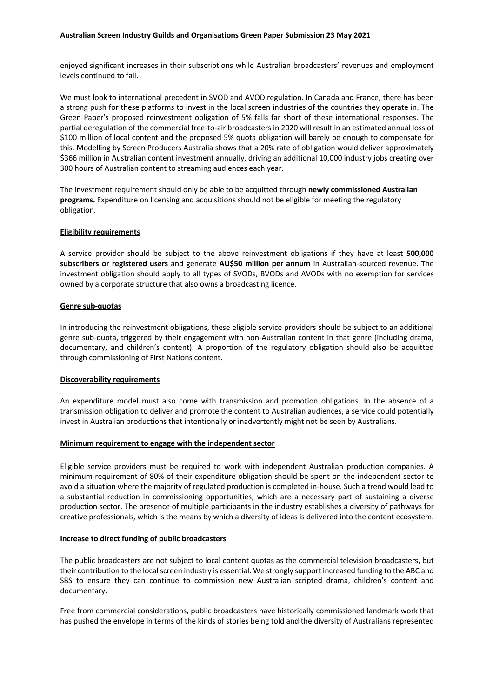## **Australian Screen Industry Guilds and Organisations Green Paper Submission 23 May 2021**

enjoyed significant increases in their subscriptions while Australian broadcasters' revenues and employment levels continued to fall.

We must look to international precedent in SVOD and AVOD regulation. In Canada and France, there has been a strong push for these platforms to invest in the local screen industries of the countries they operate in. The Green Paper's proposed reinvestment obligation of 5% falls far short of these international responses. The partial deregulation of the commercial free-to-air broadcasters in 2020 will result in an estimated annual loss of \$100 million of local content and the proposed 5% quota obligation will barely be enough to compensate for this. Modelling by Screen Producers Australia shows that a 20% rate of obligation would deliver approximately \$366 million in Australian content investment annually, driving an additional 10,000 industry jobs creating over 300 hours of Australian content to streaming audiences each year.

The investment requirement should only be able to be acquitted through **newly commissioned Australian programs.** Expenditure on licensing and acquisitions should not be eligible for meeting the regulatory obligation.

#### **Eligibility requirements**

A service provider should be subject to the above reinvestment obligations if they have at least **500,000 subscribers or registered users** and generate **AU\$50 million per annum** in Australian-sourced revenue. The investment obligation should apply to all types of SVODs, BVODs and AVODs with no exemption for services owned by a corporate structure that also owns a broadcasting licence.

#### **Genre sub-quotas**

In introducing the reinvestment obligations, these eligible service providers should be subject to an additional genre sub-quota, triggered by their engagement with non-Australian content in that genre (including drama, documentary, and children's content). A proportion of the regulatory obligation should also be acquitted through commissioning of First Nations content.

# **Discoverability requirements**

An expenditure model must also come with transmission and promotion obligations. In the absence of a transmission obligation to deliver and promote the content to Australian audiences, a service could potentially invest in Australian productions that intentionally or inadvertently might not be seen by Australians.

#### **Minimum requirement to engage with the independent sector**

Eligible service providers must be required to work with independent Australian production companies. A minimum requirement of 80% of their expenditure obligation should be spent on the independent sector to avoid a situation where the majority of regulated production is completed in-house. Such a trend would lead to a substantial reduction in commissioning opportunities, which are a necessary part of sustaining a diverse production sector. The presence of multiple participants in the industry establishes a diversity of pathways for creative professionals, which is the means by which a diversity of ideas is delivered into the content ecosystem.

# **Increase to direct funding of public broadcasters**

The public broadcasters are not subject to local content quotas as the commercial television broadcasters, but their contribution to the local screen industry is essential. We strongly support increased funding to the ABC and SBS to ensure they can continue to commission new Australian scripted drama, children's content and documentary.

Free from commercial considerations, public broadcasters have historically commissioned landmark work that has pushed the envelope in terms of the kinds of stories being told and the diversity of Australians represented